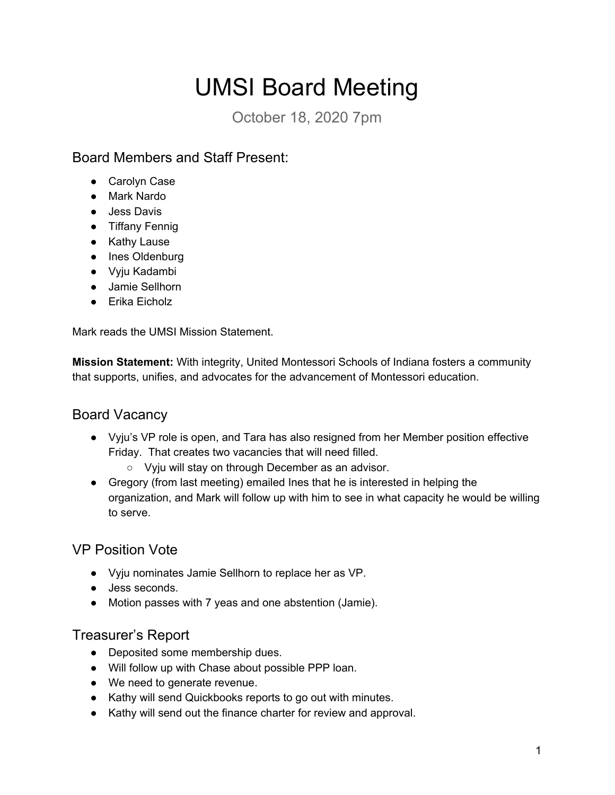# UMSI Board Meeting

October 18, 2020 7pm

Board Members and Staff Present:

- Carolyn Case
- Mark Nardo
- Jess Davis
- Tiffany Fennig
- Kathy Lause
- Ines Oldenburg
- Vyju Kadambi
- Jamie Sellhorn
- $\bullet$  Erika Eicholz

Mark reads the UMSI Mission Statement.

**Mission Statement:** With integrity, United Montessori Schools of Indiana fosters a community that supports, unifies, and advocates for the advancement of Montessori education.

## **Board Vacancy**

- Vyju's VP role is open, and Tara has also resigned from her Member position effective Friday. That creates two vacancies that will need filled.
	- $\circ$  Vyju will stay on through December as an advisor.
- Gregory (from last meeting) emailed lnes that he is interested in helping the organization, and Mark will follow up with him to see in what capacity he would be willing to serve.

# VP Position Vote

- Ɣ V\ju nominates Jamie Sellhorn to replace her as VP.
- Jess seconds.
- Motion passes with 7 yeas and one abstention (Jamie).

## Treasurer's Report

- Deposited some membership dues.
- Ɣ Will follow up with Chase about possible PPP loan.
- We need to generate revenue.
- Kathy will send Quickbooks reports to go out with minutes.
- Kathy will send out the finance charter for review and approval.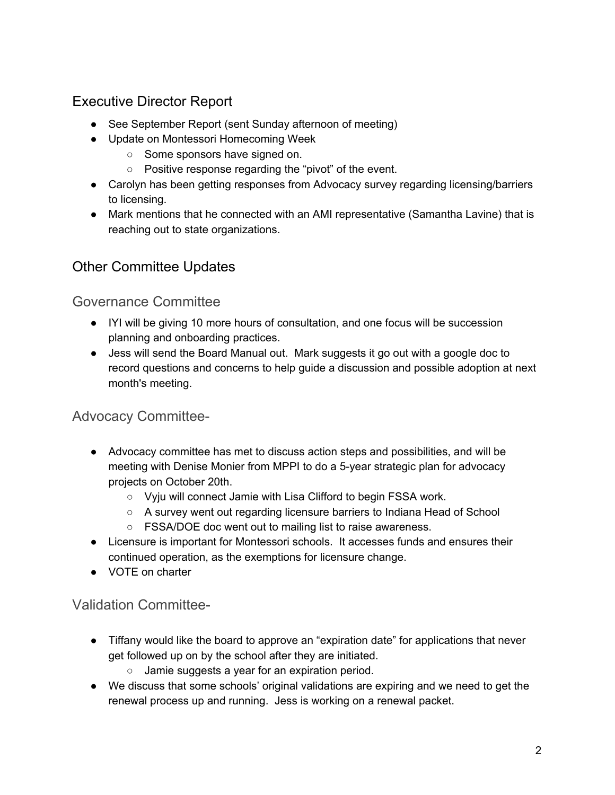# Executive Director Report

- See September Report (sent Sunday afternoon of meeting)
- Update on Montessori Homecoming Week
	- $\circ$  Some sponsors have signed on.
	- $\circ$  Positive response regarding the "pivot" of the event.
- Carolyn has been getting responses from Advocacy survey regarding licensing/barriers to licensing.
- Mark mentions that he connected with an AMI representative (Samantha Lavine) that is reaching out to state organizations.

## Other Committee Updates

#### Governance Committee

- IYI will be giving 10 more hours of consultation, and one focus will be succession planning and onboarding practices.
- Jess will send the Board Manual out. Mark suggests it go out with a google doc to record questions and concerns to help guide a discussion and possible adoption at next month's meeting.

## **Advocacy Committee-**

- Advocacy committee has met to discuss action steps and possibilities, and will be meeting with Denise Monier from MPPI to do a 5-year strategic plan for advocacy projects on October 20th.
	- $\circ$  Vyju will connect Jamie with Lisa Clifford to begin FSSA work.
	- $\circ$  A survey went out regarding licensure barriers to Indiana Head of School
	- $\circ$  FSSA/DOE doc went out to mailing list to raise awareness.
- Licensure is important for Montessori schools. It accesses funds and ensures their continued operation, as the exemptions for licensure change.
- VOTE on charter

## Validation Committee-

- Tiffany would like the board to approve an "expiration date" for applications that never get followed up on by the school after they are initiated.
	- $\circ$  Jamie suggests a year for an expiration period.
- We discuss that some schools' original validations are expiring and we need to get the renewal process up and running. Jess is working on a renewal packet.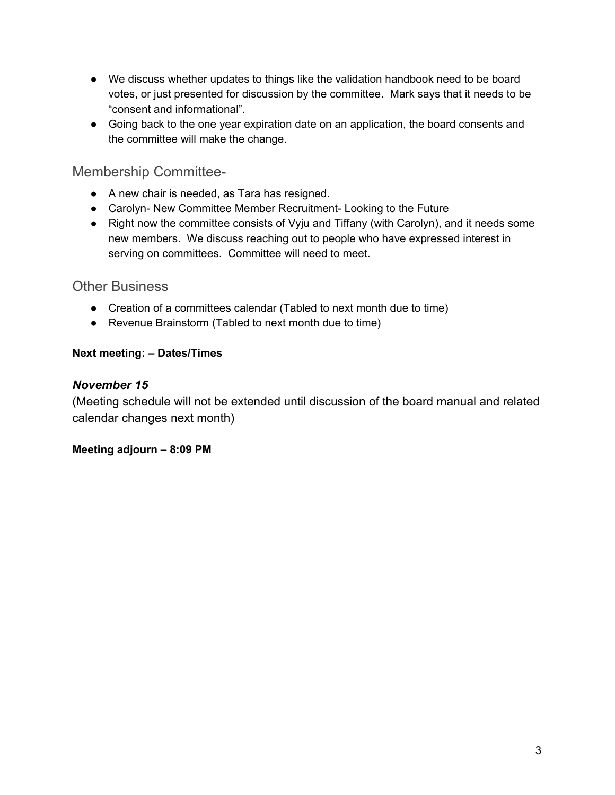- We discuss whether updates to things like the validation handbook need to be board votes, or just presented for discussion by the committee. Mark says that it needs to be "consent and informational".
- Going back to the one year expiration date on an application, the board consents and the committee will make the change.

#### Membership Committee-

- A new chair is needed, as Tara has resigned.
- Carolyn- New Committee Member Recruitment- Looking to the Future
- $\bullet$  Right now the committee consists of Vyju and Tiffany (with Carolyn), and it needs some new members. We discuss reaching out to people who have expressed interest in serving on committees. Committee will need to meet.

#### Other Business

- Creation of a committees calendar (Tabled to next month due to time)
- Revenue Brainstorm (Tabled to next month due to time)

#### **Next meeting: - Dates/Times**

#### **November 15**

(Meeting schedule will not be extended until discussion of the board manual and related calendar changes next month)

#### **Meeting adjourn - 8:09 PM**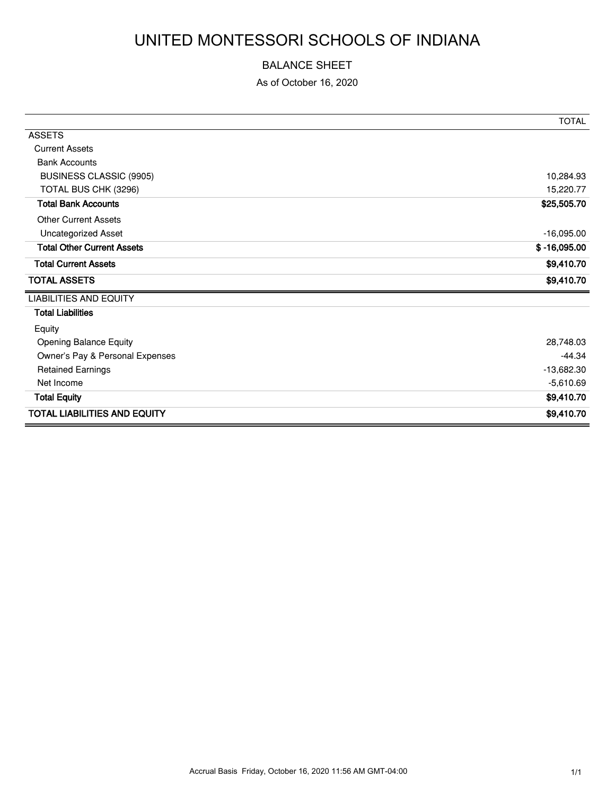# UNITED MONTESSORI SCHOOLS OF INDIANA

#### BALANCE SHEET

As of October 16, 2020

|                                     | <b>TOTAL</b>   |
|-------------------------------------|----------------|
| <b>ASSETS</b>                       |                |
| <b>Current Assets</b>               |                |
| <b>Bank Accounts</b>                |                |
| <b>BUSINESS CLASSIC (9905)</b>      | 10,284.93      |
| TOTAL BUS CHK (3296)                | 15,220.77      |
| <b>Total Bank Accounts</b>          | \$25,505.70    |
| <b>Other Current Assets</b>         |                |
| <b>Uncategorized Asset</b>          | $-16,095.00$   |
| <b>Total Other Current Assets</b>   | $$ -16,095.00$ |
| <b>Total Current Assets</b>         | \$9,410.70     |
| <b>TOTAL ASSETS</b>                 | \$9,410.70     |
| <b>LIABILITIES AND EQUITY</b>       |                |
| <b>Total Liabilities</b>            |                |
| Equity                              |                |
| <b>Opening Balance Equity</b>       | 28,748.03      |
| Owner's Pay & Personal Expenses     | $-44.34$       |
| <b>Retained Earnings</b>            | $-13,682.30$   |
| Net Income                          | $-5,610.69$    |
| <b>Total Equity</b>                 | \$9,410.70     |
| <b>TOTAL LIABILITIES AND EQUITY</b> | \$9,410.70     |